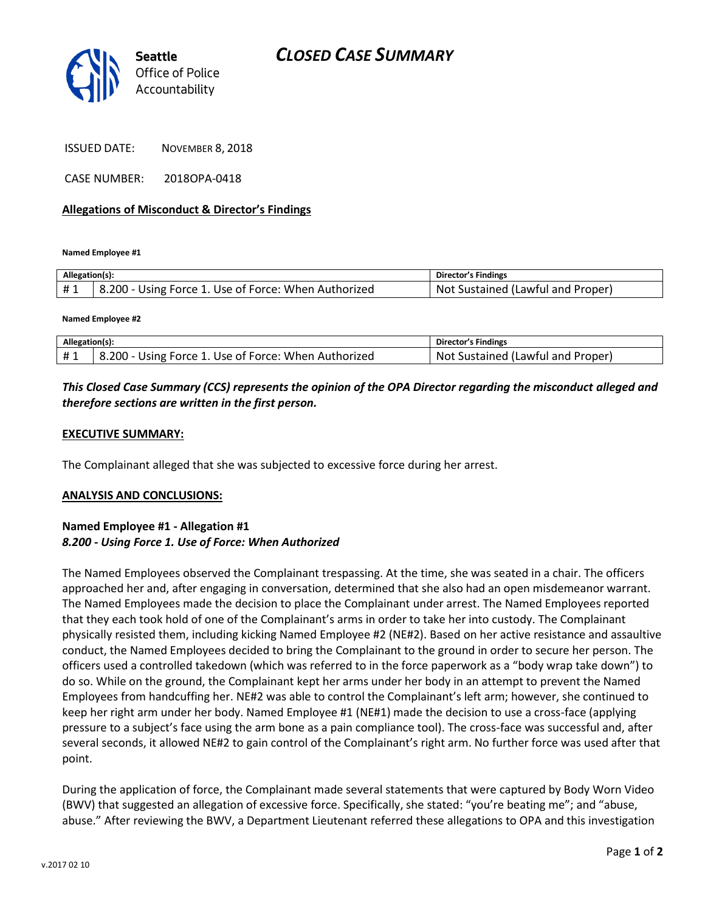

ISSUED DATE: NOVEMBER 8, 2018

CASE NUMBER: 2018OPA-0418

#### **Allegations of Misconduct & Director's Findings**

**Named Employee #1**

| Allegation(s): |                                                      | Director's Findings               |
|----------------|------------------------------------------------------|-----------------------------------|
| #1             | 8.200 - Using Force 1. Use of Force: When Authorized | Not Sustained (Lawful and Proper) |

**Named Employee #2**

| Allegation(s): |                                                      | Director's Findings               |
|----------------|------------------------------------------------------|-----------------------------------|
|                | 8.200 - Using Force 1. Use of Force: When Authorized | Not Sustained (Lawful and Proper) |

## *This Closed Case Summary (CCS) represents the opinion of the OPA Director regarding the misconduct alleged and therefore sections are written in the first person.*

#### **EXECUTIVE SUMMARY:**

The Complainant alleged that she was subjected to excessive force during her arrest.

#### **ANALYSIS AND CONCLUSIONS:**

### **Named Employee #1 - Allegation #1** *8.200 - Using Force 1. Use of Force: When Authorized*

The Named Employees observed the Complainant trespassing. At the time, she was seated in a chair. The officers approached her and, after engaging in conversation, determined that she also had an open misdemeanor warrant. The Named Employees made the decision to place the Complainant under arrest. The Named Employees reported that they each took hold of one of the Complainant's arms in order to take her into custody. The Complainant physically resisted them, including kicking Named Employee #2 (NE#2). Based on her active resistance and assaultive conduct, the Named Employees decided to bring the Complainant to the ground in order to secure her person. The officers used a controlled takedown (which was referred to in the force paperwork as a "body wrap take down") to do so. While on the ground, the Complainant kept her arms under her body in an attempt to prevent the Named Employees from handcuffing her. NE#2 was able to control the Complainant's left arm; however, she continued to keep her right arm under her body. Named Employee #1 (NE#1) made the decision to use a cross-face (applying pressure to a subject's face using the arm bone as a pain compliance tool). The cross-face was successful and, after several seconds, it allowed NE#2 to gain control of the Complainant's right arm. No further force was used after that point.

During the application of force, the Complainant made several statements that were captured by Body Worn Video (BWV) that suggested an allegation of excessive force. Specifically, she stated: "you're beating me"; and "abuse, abuse." After reviewing the BWV, a Department Lieutenant referred these allegations to OPA and this investigation